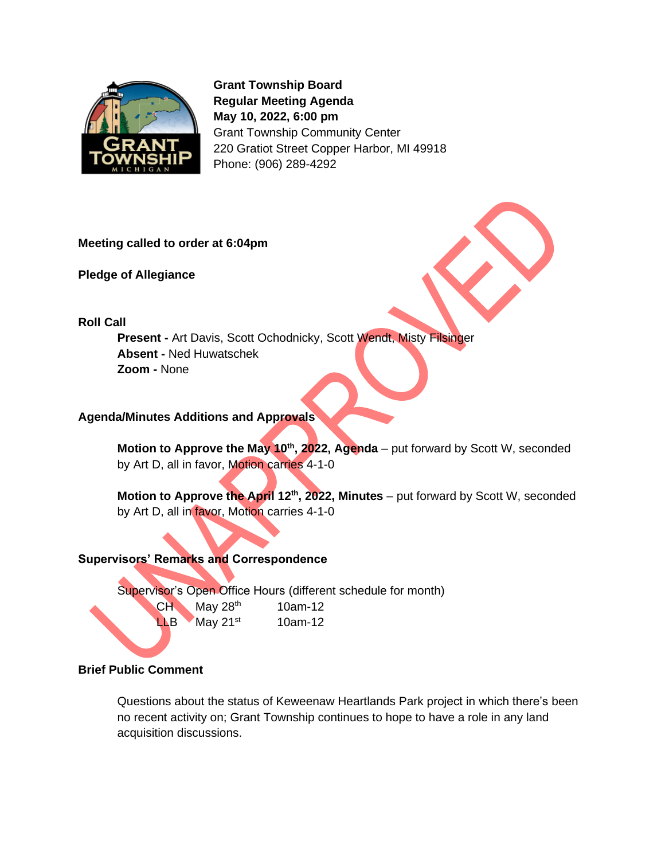

**Grant Township Board Regular Meeting Agenda May 10, 2022, 6:00 pm** Grant Township Community Center 220 Gratiot Street Copper Harbor, MI 49918 Phone: (906) 289-4292

#### **Meeting called to order at 6:04pm**

**Pledge of Allegiance** 

**Roll Call**

**Present -** Art Davis, Scott Ochodnicky, Scott Wendt, Misty Filsinger **Absent -** Ned Huwatschek **Zoom -** None

#### **Agenda/Minutes Additions and Approvals**

**Motion to Approve the May 10th, 2022, Agenda** – put forward by Scott W, seconded by Art D, all in favor, Motion carries 4-1-0

**Motion to Approve the April 12<sup>th</sup>, 2022, Minutes** – put forward by Scott W, seconded by Art D, all in favor, Motion carries 4-1-0

#### **Supervisors' Remarks and Correspondence**

Supervisor's Open Office Hours (different schedule for month)

 $CH$  May 28<sup>th</sup> 10am-12  $LLB$  May 21st 10am-12

## **Brief Public Comment**

ł

Questions about the status of Keweenaw Heartlands Park project in which there's been no recent activity on; Grant Township continues to hope to have a role in any land acquisition discussions.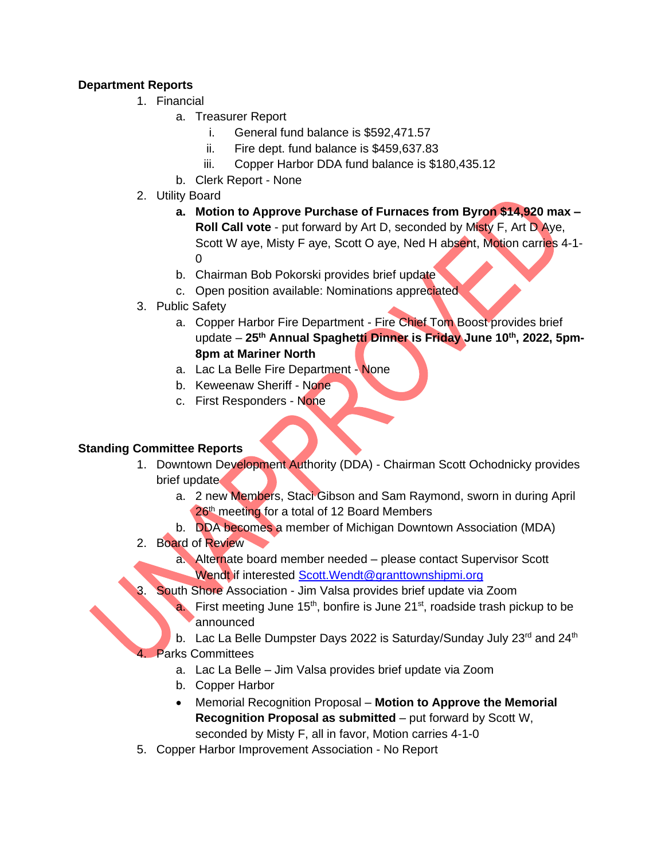# **Department Reports**

- 1. Financial
	- a. Treasurer Report
		- i. General fund balance is \$592,471.57
		- ii. Fire dept. fund balance is \$459,637.83
		- iii. Copper Harbor DDA fund balance is \$180,435.12
	- b. Clerk Report None
- 2. Utility Board
	- **a. Motion to Approve Purchase of Furnaces from Byron \$14,920 max – Roll Call vote** - put forward by Art D, seconded by Misty F, Art D Aye, Scott W aye, Misty F aye, Scott O aye, Ned H absent, Motion carries 4-1-  $\Omega$
	- b. Chairman Bob Pokorski provides brief update
	- c. Open position available: Nominations appreciated
- 3. Public Safety
	- a. Copper Harbor Fire Department Fire Chief Tom Boost provides brief update – **25th Annual Spaghetti Dinner is Friday June 10th, 2022, 5pm-8pm at Mariner North**
	- a. Lac La Belle Fire Department None
	- b. Keweenaw Sheriff None
	- c. First Responders None

## **Standing Committee Reports**

- 1. Downtown Development Authority (DDA) Chairman Scott Ochodnicky provides brief update
	- a. 2 new Members, Staci Gibson and Sam Raymond, sworn in during April 26<sup>th</sup> meeting for a total of 12 Board Members
	- b. DDA becomes a member of Michigan Downtown Association (MDA)
- 2. Board of Review
	- a. Alternate board member needed please contact Supervisor Scott Wendt if interested Scott. Wendt@granttownshipmi.org
	- South Shore Association Jim Valsa provides brief update via Zoom
		- a. First meeting June  $15<sup>th</sup>$ , bonfire is June  $21<sup>st</sup>$ , roadside trash pickup to be announced
	- b. Lac La Belle Dumpster Days 2022 is Saturday/Sunday July 23rd and 24th **Parks Committees** 
		- a. Lac La Belle Jim Valsa provides brief update via Zoom
		- b. Copper Harbor
		- Memorial Recognition Proposal **Motion to Approve the Memorial Recognition Proposal as submitted** – put forward by Scott W, seconded by Misty F, all in favor, Motion carries 4-1-0
- 5. Copper Harbor Improvement Association No Report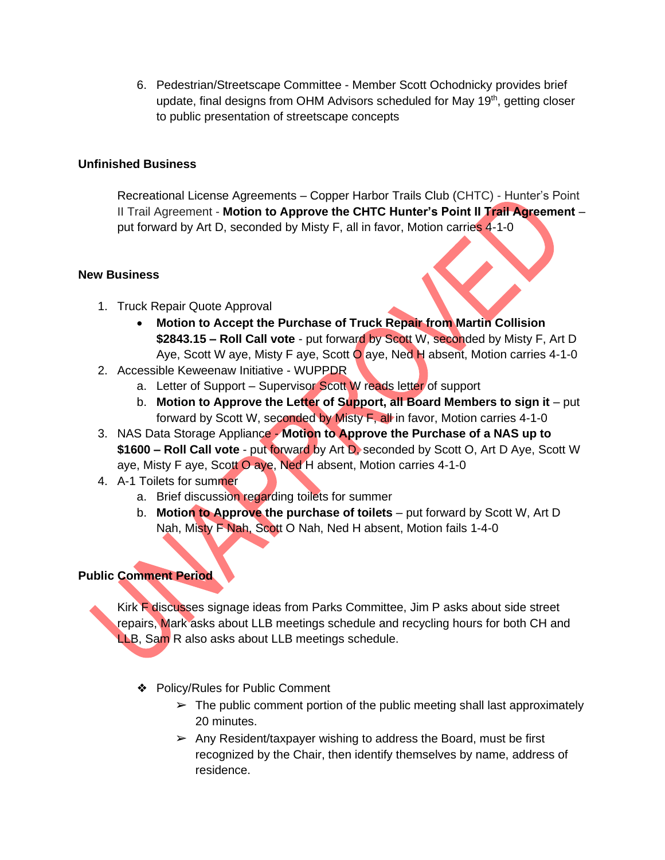6. Pedestrian/Streetscape Committee - Member Scott Ochodnicky provides brief update, final designs from OHM Advisors scheduled for May 19<sup>th</sup>, getting closer to public presentation of streetscape concepts

## **Unfinished Business**

Recreational License Agreements – Copper Harbor Trails Club (CHTC) - Hunter's Point II Trail Agreement - **Motion to Approve the CHTC Hunter's Point II Trail Agreement** – put forward by Art D, seconded by Misty F, all in favor, Motion carries 4-1-0

#### **New Business**

- 1. Truck Repair Quote Approval
	- **Motion to Accept the Purchase of Truck Repair from Martin Collision \$2843.15 – Roll Call vote** - put forward by Scott W, seconded by Misty F, Art D Aye, Scott W aye, Misty F aye, Scott O aye, Ned H absent, Motion carries 4-1-0
- 2. Accessible Keweenaw Initiative WUPPDR
	- a. Letter of Support Supervisor Scott W reads letter of support
	- b. **Motion to Approve the Letter of Support, all Board Members to sign it**  put forward by Scott W, seconded by Misty F, all in favor, Motion carries 4-1-0
- 3. NAS Data Storage Appliance **Motion to Approve the Purchase of a NAS up to \$1600 – Roll Call vote** - put forward by Art D, seconded by Scott O, Art D Aye, Scott W aye, Misty F aye, Scott O aye, Ned H absent, Motion carries 4-1-0
- 4. A-1 Toilets for summer
	- a. Brief discussion regarding toilets for summer
	- b. **Motion to Approve the purchase of toilets**  put forward by Scott W, Art D Nah, Misty F Nah, Scott O Nah, Ned H absent, Motion fails 1-4-0

# **Public Comment Period**

Kirk F discusses signage ideas from Parks Committee, Jim P asks about side street repairs, Mark asks about LLB meetings schedule and recycling hours for both CH and LLB, Sam R also asks about LLB meetings schedule.

- ❖ Policy/Rules for Public Comment
	- $\triangleright$  The public comment portion of the public meeting shall last approximately 20 minutes.
	- $\triangleright$  Any Resident/taxpayer wishing to address the Board, must be first recognized by the Chair, then identify themselves by name, address of residence.